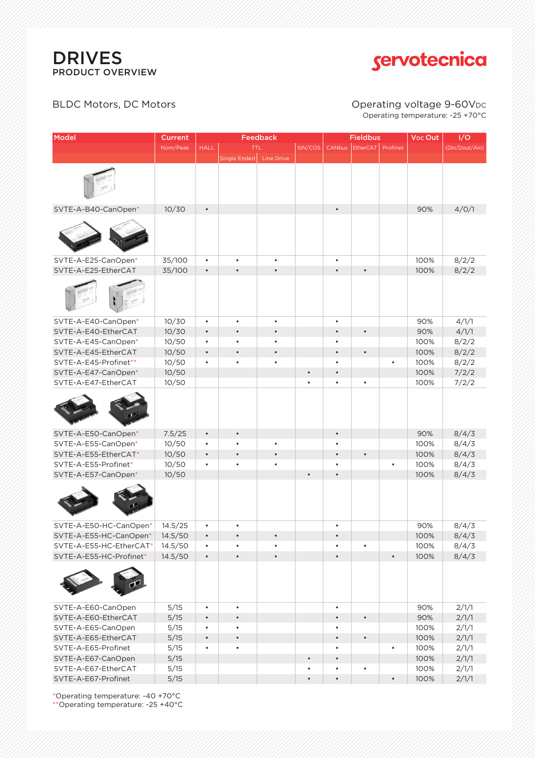

# servotecnica

### BLDC Motors, DC Motors **CONDITION** Operating voltage 9-60VDC

# Operating temperature: -25 +70°C

| Model                   | <b>Current</b> | <b>Feedback</b> |              |            |           | <b>Fieldbus</b> |                 |           | <b>VDC Out</b> | I/O            |
|-------------------------|----------------|-----------------|--------------|------------|-----------|-----------------|-----------------|-----------|----------------|----------------|
|                         | Nom/Peak       | <b>HALL</b>     |              | <b>TTL</b> | SIN/COS   |                 | CANbus EtherCAT | Profinet  |                | (Din/Dout/Ain) |
|                         |                |                 | Single Ended | Line Drive |           |                 |                 |           |                |                |
|                         |                |                 |              |            |           |                 |                 |           |                |                |
| SVTE-A-B40-CanOpen*     | 10/30          | $\bullet$       |              |            |           | $\bullet$       |                 |           | 90%            | 4/0/1          |
|                         |                |                 |              |            |           |                 |                 |           |                |                |
| SVTE-A-E25-CanOpen*     | 35/100         | $\bullet$       | $\bullet$    | $\bullet$  |           | $\bullet$       |                 |           | 100%           | 8/2/2          |
| SVTE-A-E25-EtherCAT     | 35/100         | $\bullet$       | $\bullet$    | $\bullet$  |           | $\bullet$       | $\bullet$       |           | 100%           | 8/2/2          |
|                         |                |                 |              |            |           |                 |                 |           |                |                |
| SVTE-A-E40-CanOpen*     | 10/30          | $\bullet$       | $\bullet$    | $\bullet$  |           | $\bullet$       |                 |           | 90%            | 4/1/1          |
| SVTE-A-E40-EtherCAT     | 10/30          | $\bullet$       | $\bullet$    | $\bullet$  |           | $\bullet$       | $\bullet$       |           | 90%            | 4/1/1          |
| SVTE-A-E45-CanOpen*     | 10/50          | $\bullet$       |              | $\bullet$  |           | $\bullet$       |                 |           | 100%           | 8/2/2          |
| SVTE-A-E45-EtherCAT     | 10/50          | $\bullet$       | $\bullet$    | $\bullet$  |           | $\bullet$       | $\bullet$       |           | 100%           | 8/2/2          |
| SVTE-A-E45-Profinet**   | 10/50          | $\bullet$       | $\bullet$    | $\bullet$  |           | $\bullet$       |                 | $\bullet$ | 100%           | 8/2/2          |
| SVTE-A-E47-CanOpen*     | 10/50          |                 |              |            | $\bullet$ | $\bullet$       |                 |           | 100%           | 7/2/2          |
| SVTE-A-E47-EtherCAT     | 10/50          |                 |              |            | $\bullet$ | $\bullet$       | $\bullet$       |           | 100%           | 7/2/2          |
|                         |                |                 |              |            |           |                 |                 |           |                |                |
| SVTE-A-E50-CanOpen*     | 7.5/25         | $\bullet$       | $\bullet$    |            |           | $\bullet$       |                 |           | 90%            | 8/4/3          |
| SVTE-A-E55-CanOpen*     | 10/50          | $\bullet$       | $\bullet$    | $\bullet$  |           | $\bullet$       |                 |           | 100%           | 8/4/3          |
| SVTE-A-E55-EtherCAT*    | 10/50          | $\bullet$       | $\bullet$    | $\bullet$  |           | $\bullet$       | $\bullet$       |           | 100%           | 8/4/3          |
| SVTE-A-E55-Profinet*    | 10/50          | $\bullet$       | $\bullet$    | $\bullet$  |           | $\bullet$       |                 | $\bullet$ | 100%           | 8/4/3          |
| SVTE-A-E57-CanOpen*     | 10/50          |                 |              |            | $\bullet$ | $\bullet$       |                 |           | 100%           | 8/4/3          |
|                         |                |                 |              |            |           |                 |                 |           |                |                |
| SVTE-A-E50-HC-CanOpen*  | 14.5/25        | $\bullet$       |              |            |           | $\bullet$       |                 |           | 90%            | 8/4/3          |
| SVTE-A-E55-HC-CanOpen   | 14.5/50        | $\bullet$       | $\bullet$    | $\bullet$  |           | $\bullet$       |                 |           | 100%           | 8/4/3          |
| SVTE-A-E55-HC-EtherCAT* | 14.5/50        | $\bullet$       | $\bullet$    | $\bullet$  |           | $\bullet$       | $\bullet$       |           | 100%           | 8/4/3          |
| SVTE-A-E55-HC-Profinet* | 14.5/50        | $\bullet$       | $\bullet$    | $\bullet$  |           | $\bullet$       |                 | $\bullet$ | 100%           | 8/4/3          |
|                         |                |                 |              |            |           |                 |                 |           |                |                |
| SVTE-A-E60-CanOpen      | 5/15           | $\bullet$       | $\bullet$    |            |           | $\bullet$       |                 |           | 90%            | 2/1/1          |
| SVTE-A-E60-EtherCAT     | 5/15           | $\bullet$       | $\bullet$    |            |           | $\bullet$       | $\bullet$       |           | 90%            | 2/1/1          |
| SVTE-A-E65-CanOpen      | 5/15           | $\bullet$       | $\bullet$    |            |           | $\bullet$       |                 |           | 100%           | 2/1/1          |
| SVTE-A-E65-EtherCAT     | 5/15           | $\bullet$       | $\bullet$    |            |           | $\bullet$       | $\bullet$       |           | 100%           | 2/1/1          |
| SVTE-A-E65-Profinet     | 5/15           | $\bullet$       | $\bullet$    |            |           | $\bullet$       |                 | $\bullet$ | 100%           | 2/1/1          |
| SVTE-A-E67-CanOpen      | 5/15           |                 |              |            | $\bullet$ | $\bullet$       |                 |           | 100%           | 2/1/1          |
| SVTE-A-E67-EtherCAT     | 5/15           |                 |              |            | $\bullet$ | $\bullet$       | $\bullet$       |           | 100%           | 2/1/1          |
| SVTE-A-E67-Profinet     | 5/15           |                 |              |            | $\bullet$ | $\bullet$       |                 | $\bullet$ | 100%           | 2/1/1          |

\*Operating temperature: -40 +70°C \*\*Operating temperature: -25 +40°C